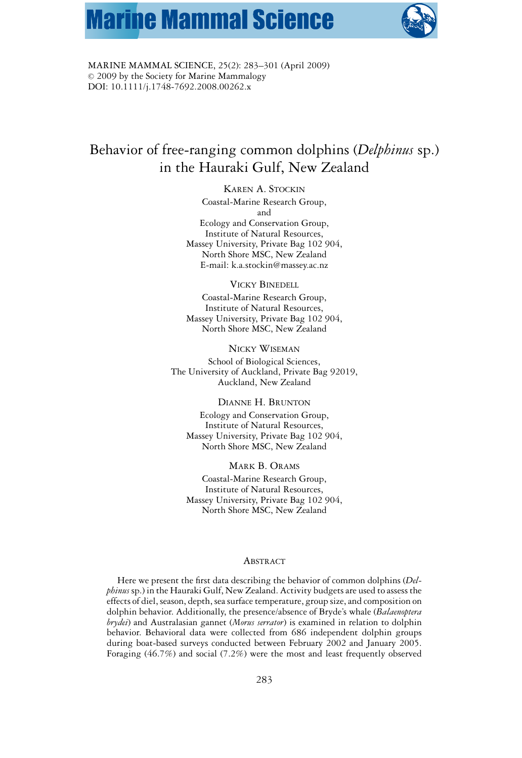# **Marine Mammal Science**



MARINE MAMMAL SCIENCE, 25(2): 283–301 (April 2009)  $© 2009$  by the Society for Marine Mammalogy DOI: 10.1111/j.1748-7692.2008.00262.x

# Behavior of free-ranging common dolphins (*Delphinus* sp.) in the Hauraki Gulf, New Zealand

KAREN A. STOCKIN

Coastal-Marine Research Group, and Ecology and Conservation Group, Institute of Natural Resources, Massey University, Private Bag 102 904, North Shore MSC, New Zealand E-mail: k.a.stockin@massey.ac.nz

VICKY BINEDELL

Coastal-Marine Research Group, Institute of Natural Resources, Massey University, Private Bag 102 904, North Shore MSC, New Zealand

NICKY WISEMAN School of Biological Sciences, The University of Auckland, Private Bag 92019, Auckland, New Zealand

DIANNE H. BRUNTON Ecology and Conservation Group, Institute of Natural Resources, Massey University, Private Bag 102 904, North Shore MSC, New Zealand

MARK B. ORAMS Coastal-Marine Research Group, Institute of Natural Resources, Massey University, Private Bag 102 904, North Shore MSC, New Zealand

# **ABSTRACT**

Here we present the first data describing the behavior of common dolphins (*Delphinus* sp.) in the Hauraki Gulf, New Zealand. Activity budgets are used to assess the effects of diel, season, depth, sea surface temperature, group size, and composition on dolphin behavior. Additionally, the presence/absence of Bryde's whale (*Balaenoptera brydei*) and Australasian gannet (*Morus serrator*) is examined in relation to dolphin behavior. Behavioral data were collected from 686 independent dolphin groups during boat-based surveys conducted between February 2002 and January 2005. Foraging (46.7%) and social (7.2%) were the most and least frequently observed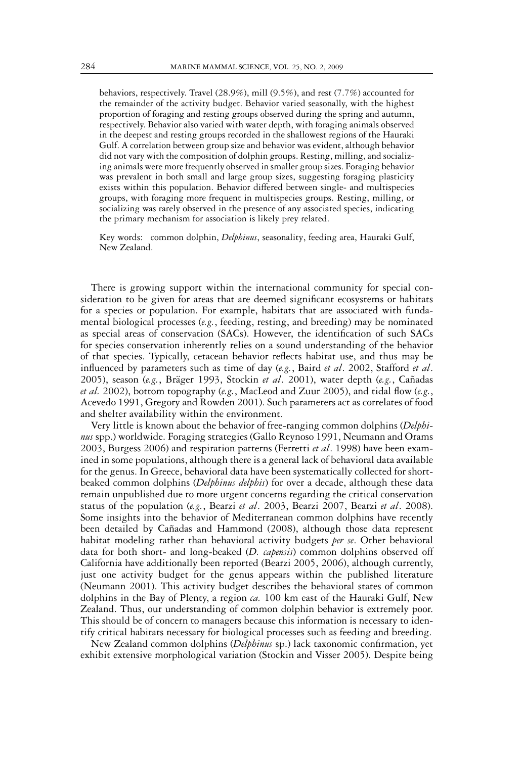behaviors, respectively. Travel (28.9%), mill (9.5%), and rest (7.7%) accounted for the remainder of the activity budget. Behavior varied seasonally, with the highest proportion of foraging and resting groups observed during the spring and autumn, respectively. Behavior also varied with water depth, with foraging animals observed in the deepest and resting groups recorded in the shallowest regions of the Hauraki Gulf. A correlation between group size and behavior was evident, although behavior did not vary with the composition of dolphin groups. Resting, milling, and socializing animals were more frequently observed in smaller group sizes. Foraging behavior was prevalent in both small and large group sizes, suggesting foraging plasticity exists within this population. Behavior differed between single- and multispecies groups, with foraging more frequent in multispecies groups. Resting, milling, or socializing was rarely observed in the presence of any associated species, indicating the primary mechanism for association is likely prey related.

Key words: common dolphin, *Delphinus*, seasonality, feeding area, Hauraki Gulf, New Zealand.

There is growing support within the international community for special consideration to be given for areas that are deemed significant ecosystems or habitats for a species or population. For example, habitats that are associated with fundamental biological processes (*e.g.*, feeding, resting, and breeding) may be nominated as special areas of conservation (SACs). However, the identification of such SACs for species conservation inherently relies on a sound understanding of the behavior of that species. Typically, cetacean behavior reflects habitat use, and thus may be influenced by parameters such as time of day (*e.g.*, Baird *et al*. 2002, Stafford *et al*. 2005), season (e.g., Bräger 1993, Stockin et al. 2001), water depth (e.g., Cañadas *et al.* 2002), bottom topography (*e.g.*, MacLeod and Zuur 2005), and tidal flow (*e.g.*, Acevedo 1991, Gregory and Rowden 2001). Such parameters act as correlates of food and shelter availability within the environment.

Very little is known about the behavior of free-ranging common dolphins (*Delphinus* spp.) worldwide. Foraging strategies (Gallo Reynoso 1991, Neumann and Orams 2003, Burgess 2006) and respiration patterns (Ferretti *et al*. 1998) have been examined in some populations, although there is a general lack of behavioral data available for the genus. In Greece, behavioral data have been systematically collected for shortbeaked common dolphins (*Delphinus delphis*) for over a decade, although these data remain unpublished due to more urgent concerns regarding the critical conservation status of the population (*e.g.*, Bearzi *et al*. 2003, Bearzi 2007, Bearzi *et al*. 2008). Some insights into the behavior of Mediterranean common dolphins have recently been detailed by Cañadas and Hammond (2008), although those data represent habitat modeling rather than behavioral activity budgets *per se*. Other behavioral data for both short- and long-beaked (*D. capensis*) common dolphins observed off California have additionally been reported (Bearzi 2005, 2006), although currently, just one activity budget for the genus appears within the published literature (Neumann 2001). This activity budget describes the behavioral states of common dolphins in the Bay of Plenty, a region *ca.* 100 km east of the Hauraki Gulf, New Zealand. Thus, our understanding of common dolphin behavior is extremely poor. This should be of concern to managers because this information is necessary to identify critical habitats necessary for biological processes such as feeding and breeding.

New Zealand common dolphins (*Delphinus* sp.) lack taxonomic confirmation, yet exhibit extensive morphological variation (Stockin and Visser 2005). Despite being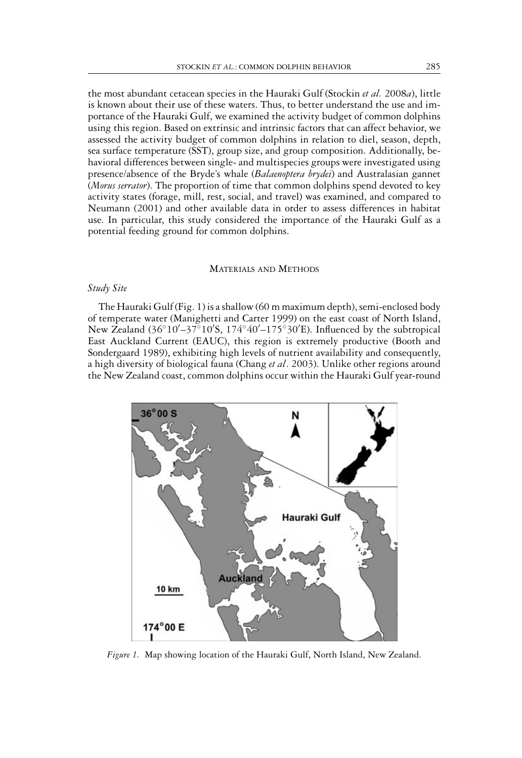the most abundant cetacean species in the Hauraki Gulf (Stockin *et al.* 2008*a*), little is known about their use of these waters. Thus, to better understand the use and importance of the Hauraki Gulf, we examined the activity budget of common dolphins using this region. Based on extrinsic and intrinsic factors that can affect behavior, we assessed the activity budget of common dolphins in relation to diel, season, depth, sea surface temperature (SST), group size, and group composition. Additionally, behavioral differences between single- and multispecies groups were investigated using presence/absence of the Bryde's whale (*Balaenoptera brydei*) and Australasian gannet (*Morus serrator*). The proportion of time that common dolphins spend devoted to key activity states (forage, mill, rest, social, and travel) was examined, and compared to Neumann (2001) and other available data in order to assess differences in habitat use. In particular, this study considered the importance of the Hauraki Gulf as a potential feeding ground for common dolphins.

#### MATERIALS AND METHODS

#### *Study Site*

The Hauraki Gulf (Fig. 1) is a shallow (60 m maximum depth), semi-enclosed body of temperate water (Manighetti and Carter 1999) on the east coast of North Island, New Zealand (36◦10 –37◦10 S, 174◦40 –175◦30 E). Influenced by the subtropical East Auckland Current (EAUC), this region is extremely productive (Booth and Sondergaard 1989), exhibiting high levels of nutrient availability and consequently, a high diversity of biological fauna (Chang *et al*. 2003). Unlike other regions around the New Zealand coast, common dolphins occur within the Hauraki Gulf year-round



*Figure 1.* Map showing location of the Hauraki Gulf, North Island, New Zealand.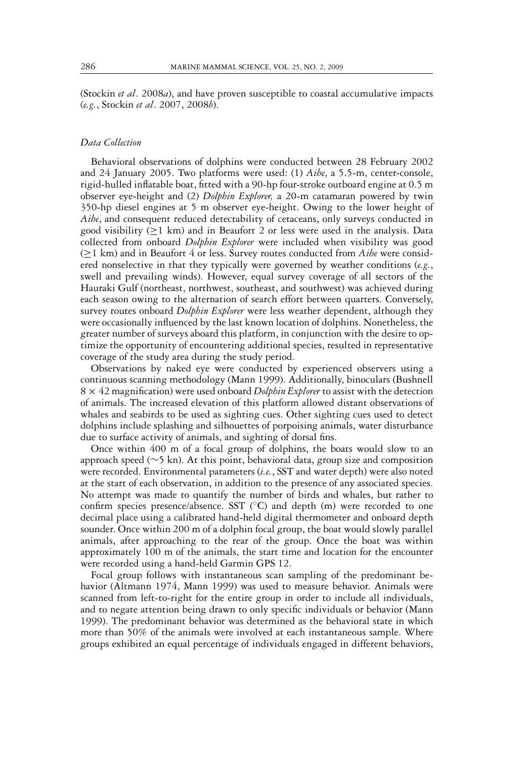(Stockin *et al*. 2008*a*), and have proven susceptible to coastal accumulative impacts (*e.g.*, Stockin *et al*. 2007, 2008*b*).

# *Data Collection*

Behavioral observations of dolphins were conducted between 28 February 2002 and 24 January 2005. Two platforms were used: (1) *Aihe*, a 5.5-m, center-console, rigid-hulled inflatable boat, fitted with a 90-hp four-stroke outboard engine at 0.5 m observer eye-height and (2) *Dolphin Explorer,* a 20-m catamaran powered by twin 350-hp diesel engines at 5 m observer eye-height. Owing to the lower height of *Aihe*, and consequent reduced detectability of cetaceans, only surveys conducted in good visibility  $(\geq 1 \text{ km})$  and in Beaufort 2 or less were used in the analysis. Data collected from onboard *Dolphin Explorer* were included when visibility was good (≥1 km) and in Beaufort 4 or less. Survey routes conducted from *Aihe* were considered nonselective in that they typically were governed by weather conditions (*e.g.*, swell and prevailing winds). However, equal survey coverage of all sectors of the Hauraki Gulf (northeast, northwest, southeast, and southwest) was achieved during each season owing to the alternation of search effort between quarters. Conversely, survey routes onboard *Dolphin Explorer* were less weather dependent, although they were occasionally influenced by the last known location of dolphins. Nonetheless, the greater number of surveys aboard this platform, in conjunction with the desire to optimize the opportunity of encountering additional species, resulted in representative coverage of the study area during the study period.

Observations by naked eye were conducted by experienced observers using a continuous scanning methodology (Mann 1999). Additionally, binoculars (Bushnell 8 × 42 magnification) were used onboard *Dolphin Explorer* to assist with the detection of animals. The increased elevation of this platform allowed distant observations of whales and seabirds to be used as sighting cues. Other sighting cues used to detect dolphins include splashing and silhouettes of porpoising animals, water disturbance due to surface activity of animals, and sighting of dorsal fins.

Once within 400 m of a focal group of dolphins, the boats would slow to an approach speed (∼5 kn). At this point, behavioral data, group size and composition were recorded. Environmental parameters (*i.e.*, SST and water depth) were also noted at the start of each observation, in addition to the presence of any associated species. No attempt was made to quantify the number of birds and whales, but rather to confirm species presence/absence. SST  $(°C)$  and depth (m) were recorded to one decimal place using a calibrated hand-held digital thermometer and onboard depth sounder. Once within 200 m of a dolphin focal group, the boat would slowly parallel animals, after approaching to the rear of the group. Once the boat was within approximately 100 m of the animals, the start time and location for the encounter were recorded using a hand-held Garmin GPS 12.

Focal group follows with instantaneous scan sampling of the predominant behavior (Altmann 1974, Mann 1999) was used to measure behavior. Animals were scanned from left-to-right for the entire group in order to include all individuals, and to negate attention being drawn to only specific individuals or behavior (Mann 1999). The predominant behavior was determined as the behavioral state in which more than 50% of the animals were involved at each instantaneous sample. Where groups exhibited an equal percentage of individuals engaged in different behaviors,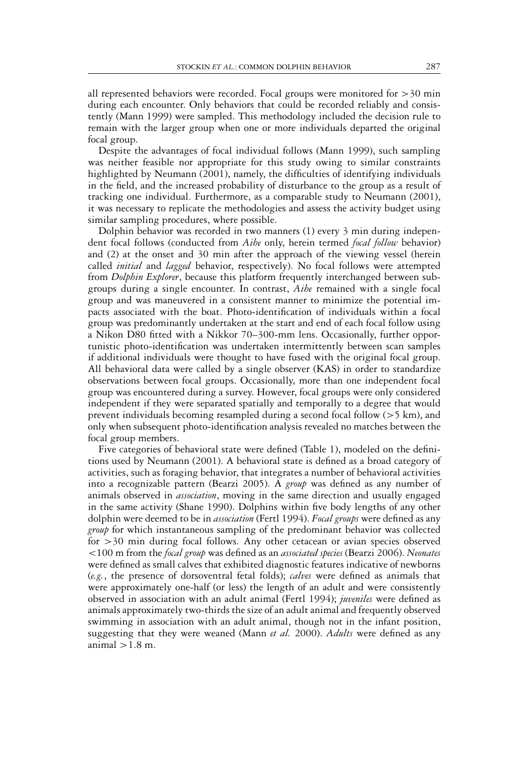all represented behaviors were recorded. Focal groups were monitored for  $>$  30 min during each encounter. Only behaviors that could be recorded reliably and consistently (Mann 1999) were sampled. This methodology included the decision rule to remain with the larger group when one or more individuals departed the original focal group.

Despite the advantages of focal individual follows (Mann 1999), such sampling was neither feasible nor appropriate for this study owing to similar constraints highlighted by Neumann (2001), namely, the difficulties of identifying individuals in the field, and the increased probability of disturbance to the group as a result of tracking one individual. Furthermore, as a comparable study to Neumann (2001), it was necessary to replicate the methodologies and assess the activity budget using similar sampling procedures, where possible.

Dolphin behavior was recorded in two manners (1) every 3 min during independent focal follows (conducted from *Aihe* only, herein termed *focal follow* behavior) and (2) at the onset and 30 min after the approach of the viewing vessel (herein called *initial* and *lagged* behavior, respectively). No focal follows were attempted from *Dolphin Explorer*, because this platform frequently interchanged between subgroups during a single encounter. In contrast, *Aihe* remained with a single focal group and was maneuvered in a consistent manner to minimize the potential impacts associated with the boat. Photo-identification of individuals within a focal group was predominantly undertaken at the start and end of each focal follow using a Nikon D80 fitted with a Nikkor 70–300-mm lens. Occasionally, further opportunistic photo-identification was undertaken intermittently between scan samples if additional individuals were thought to have fused with the original focal group. All behavioral data were called by a single observer (KAS) in order to standardize observations between focal groups. Occasionally, more than one independent focal group was encountered during a survey. However, focal groups were only considered independent if they were separated spatially and temporally to a degree that would prevent individuals becoming resampled during a second focal follow (>5 km), and only when subsequent photo-identification analysis revealed no matches between the focal group members.

Five categories of behavioral state were defined (Table 1), modeled on the definitions used by Neumann (2001). A behavioral state is defined as a broad category of activities, such as foraging behavior, that integrates a number of behavioral activities into a recognizable pattern (Bearzi 2005). A *group* was defined as any number of animals observed in *association*, moving in the same direction and usually engaged in the same activity (Shane 1990). Dolphins within five body lengths of any other dolphin were deemed to be in *association* (Fertl 1994). *Focal groups* were defined as any *group* for which instantaneous sampling of the predominant behavior was collected for >30 min during focal follows. Any other cetacean or avian species observed <100 m from the *focal group* was defined as an *associated species* (Bearzi 2006). *Neonates* were defined as small calves that exhibited diagnostic features indicative of newborns (*e.g.*, the presence of dorsoventral fetal folds); *calves* were defined as animals that were approximately one-half (or less) the length of an adult and were consistently observed in association with an adult animal (Fertl 1994); *juveniles* were defined as animals approximately two-thirds the size of an adult animal and frequently observed swimming in association with an adult animal, though not in the infant position, suggesting that they were weaned (Mann *et al.* 2000). *Adults* were defined as any animal  $>1.8$  m.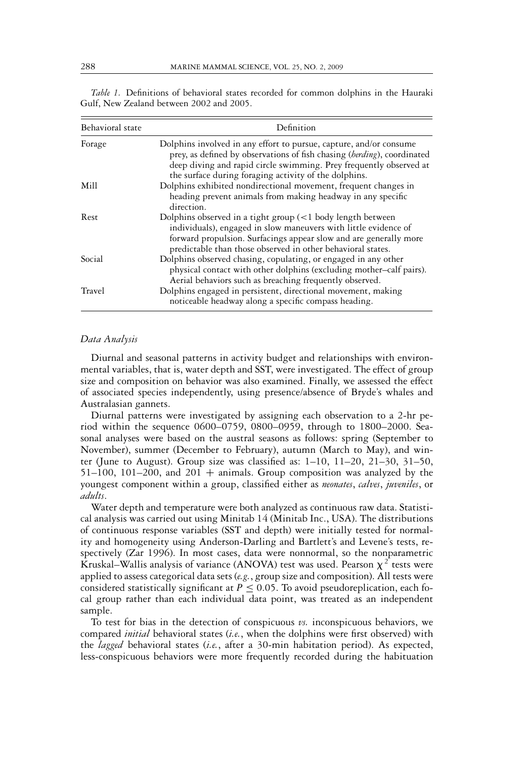| Behavioral state | Definition                                                                                                                                                                                                                                                                   |
|------------------|------------------------------------------------------------------------------------------------------------------------------------------------------------------------------------------------------------------------------------------------------------------------------|
| Forage           | Dolphins involved in any effort to pursue, capture, and/or consume<br>prey, as defined by observations of fish chasing (herding), coordinated<br>deep diving and rapid circle swimming. Prey frequently observed at<br>the surface during foraging activity of the dolphins. |
| Mill             | Dolphins exhibited nondirectional movement, frequent changes in<br>heading prevent animals from making headway in any specific<br>direction.                                                                                                                                 |
| Rest             | Dolphins observed in a tight group $\left($ < 1 body length between<br>individuals), engaged in slow maneuvers with little evidence of<br>forward propulsion. Surfacings appear slow and are generally more<br>predictable than those observed in other behavioral states.   |
| Social           | Dolphins observed chasing, copulating, or engaged in any other<br>physical contact with other dolphins (excluding mother-calf pairs).<br>Aerial behaviors such as breaching frequently observed.                                                                             |
| Travel           | Dolphins engaged in persistent, directional movement, making<br>noticeable headway along a specific compass heading.                                                                                                                                                         |

*Table 1.* Definitions of behavioral states recorded for common dolphins in the Hauraki Gulf, New Zealand between 2002 and 2005.

## *Data Analysis*

Diurnal and seasonal patterns in activity budget and relationships with environmental variables, that is, water depth and SST, were investigated. The effect of group size and composition on behavior was also examined. Finally, we assessed the effect of associated species independently, using presence/absence of Bryde's whales and Australasian gannets.

Diurnal patterns were investigated by assigning each observation to a 2-hr period within the sequence 0600–0759, 0800–0959, through to 1800–2000. Seasonal analyses were based on the austral seasons as follows: spring (September to November), summer (December to February), autumn (March to May), and winter (June to August). Group size was classified as: 1–10, 11–20, 21–30, 31–50,  $51-100$ ,  $101-200$ , and  $201 +$  animals. Group composition was analyzed by the youngest component within a group, classified either as *neonates*, *calves*, *juveniles*, or *adults*.

Water depth and temperature were both analyzed as continuous raw data. Statistical analysis was carried out using Minitab 14 (Minitab Inc., USA). The distributions of continuous response variables (SST and depth) were initially tested for normality and homogeneity using Anderson-Darling and Bartlett's and Levene's tests, respectively (Zar 1996). In most cases, data were nonnormal, so the nonparametric Kruskal–Wallis analysis of variance (ANOVA) test was used. Pearson  $\chi^2$  tests were applied to assess categorical data sets (*e.g.*, group size and composition). All tests were considered statistically significant at  $P \leq 0.05$ . To avoid pseudoreplication, each focal group rather than each individual data point, was treated as an independent sample.

To test for bias in the detection of conspicuous *vs.* inconspicuous behaviors, we compared *initial* behavioral states (*i.e.*, when the dolphins were first observed) with the *lagged* behavioral states (*i.e.*, after a 30-min habitation period). As expected, less-conspicuous behaviors were more frequently recorded during the habituation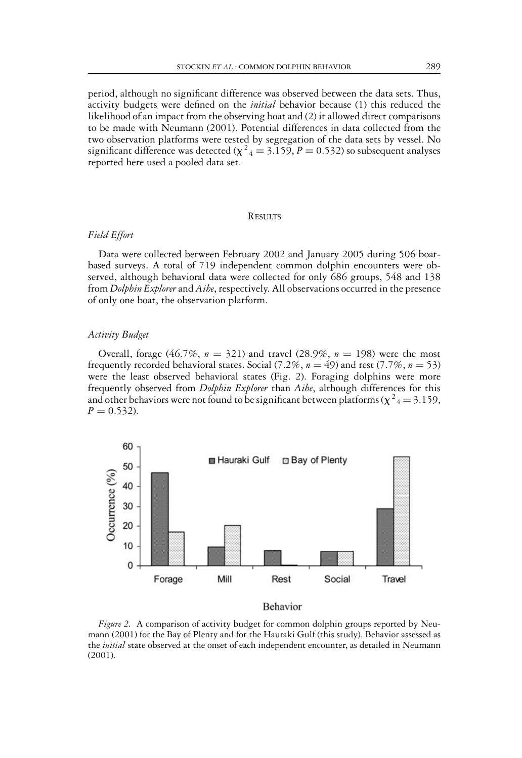period, although no significant difference was observed between the data sets. Thus, activity budgets were defined on the *initial* behavior because (1) this reduced the likelihood of an impact from the observing boat and (2) it allowed direct comparisons to be made with Neumann (2001). Potential differences in data collected from the two observation platforms were tested by segregation of the data sets by vessel. No significant difference was detected ( $\chi^2$ <sub>4</sub> = 3.159, *P* = 0.532) so subsequent analyses reported here used a pooled data set.

#### **RESULTS**

# *Field Effort*

Data were collected between February 2002 and January 2005 during 506 boatbased surveys. A total of 719 independent common dolphin encounters were observed, although behavioral data were collected for only 686 groups, 548 and 138 from *Dolphin Explorer*and *Aihe*, respectively. All observations occurred in the presence of only one boat, the observation platform.

## *Activity Budget*

Overall, forage  $(46.7\%, n = 321)$  and travel  $(28.9\%, n = 198)$  were the most frequently recorded behavioral states. Social  $(7.2\%, n = 49)$  and rest  $(7.7\%, n = 53)$ were the least observed behavioral states (Fig. 2). Foraging dolphins were more frequently observed from *Dolphin Explorer* than *Aihe*, although differences for this and other behaviors were not found to be significant between platforms ( $\chi^2$  4 = 3.159,  $P = 0.532$ .



#### Behavior

*Figure 2.* A comparison of activity budget for common dolphin groups reported by Neumann (2001) for the Bay of Plenty and for the Hauraki Gulf (this study). Behavior assessed as the *initial* state observed at the onset of each independent encounter, as detailed in Neumann (2001).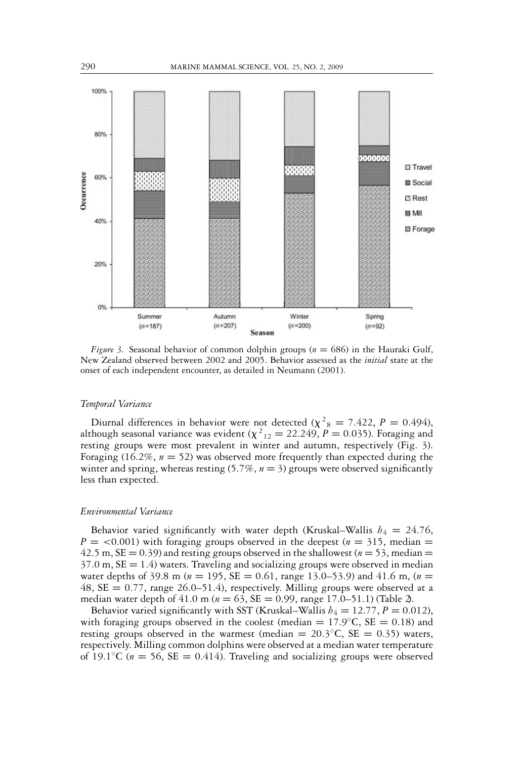

*Figure 3.* Seasonal behavior of common dolphin groups ( $n = 686$ ) in the Hauraki Gulf, New Zealand observed between 2002 and 2005. Behavior assessed as the *initial* state at the onset of each independent encounter, as detailed in Neumann (2001).

#### *Temporal Variance*

Diurnal differences in behavior were not detected  $(\chi^2)_8 = 7.422$ ,  $P = 0.494$ ), although seasonal variance was evident ( $\chi^2_{12} = 22.249$ ,  $P = 0.035$ ). Foraging and resting groups were most prevalent in winter and autumn, respectively (Fig. 3). Foraging (16.2%, *n* = 52) was observed more frequently than expected during the winter and spring, whereas resting (5.7%,  $n = 3$ ) groups were observed significantly less than expected.

#### *Environmental Variance*

Behavior varied significantly with water depth (Kruskal–Wallis  $h_4 = 24.76$ ,  $P = \langle 0.001 \rangle$  with foraging groups observed in the deepest ( $n = 315$ , median = 42.5 m,  $SE = 0.39$ ) and resting groups observed in the shallowest ( $n = 53$ , median =  $37.0$  m,  $SE = 1.4$ ) waters. Traveling and socializing groups were observed in median water depths of 39.8 m ( $n = 195$ , SE = 0.61, range 13.0–53.9) and 41.6 m, ( $n =$  $48$ , SE = 0.77, range 26.0–51.4), respectively. Milling groups were observed at a median water depth of 41.0 m ( $n = 63$ , SE = 0.99, range 17.0–51.1) (Table 2).

Behavior varied significantly with SST (Kruskal–Wallis  $h_4 = 12.77$ ,  $P = 0.012$ ), with foraging groups observed in the coolest (median  $= 17.9\degree$ C, SE  $= 0.18$ ) and resting groups observed in the warmest (median =  $20.3$ °C, SE = 0.35) waters, respectively. Milling common dolphins were observed at a median water temperature of 19.1<sup>°</sup>C ( $n = 56$ , SE = 0.414). Traveling and socializing groups were observed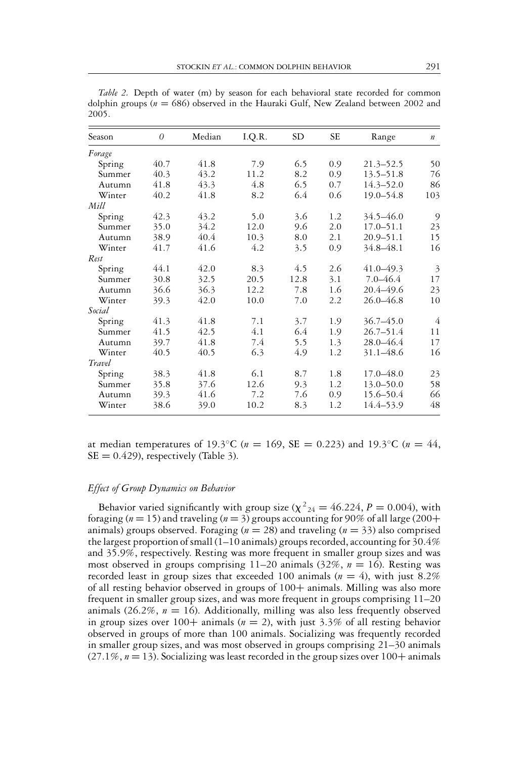| Season | $\overline{O}$ | Median | I.Q.R. | <b>SD</b> | <b>SE</b> | Range         | $\boldsymbol{n}$ |
|--------|----------------|--------|--------|-----------|-----------|---------------|------------------|
| Forage |                |        |        |           |           |               |                  |
| Spring | 40.7           | 41.8   | 7.9    | 6.5       | 0.9       | $21.3 - 52.5$ | 50               |
| Summer | 40.3           | 43.2   | 11.2   | 8.2       | 0.9       | 13.5–51.8     | 76               |
| Autumn | 41.8           | 43.3   | 4.8    | 6.5       | 0.7       | $14.3 - 52.0$ | 86               |
| Winter | 40.2           | 41.8   | 8.2    | 6.4       | 0.6       | 19.0–54.8     | 103              |
| Mill   |                |        |        |           |           |               |                  |
| Spring | 42.3           | 43.2   | 5.0    | 3.6       | 1.2       | $34.5 - 46.0$ | 9                |
| Summer | 35.0           | 34.2   | 12.0   | 9.6       | 2.0       | $17.0 - 51.1$ | 23               |
| Autumn | 38.9           | 40.4   | 10.3   | 8.0       | 2.1       | $20.9 - 51.1$ | 15               |
| Winter | 41.7           | 41.6   | 4.2    | 3.5       | 0.9       | 34.8-48.1     | 16               |
| Rest   |                |        |        |           |           |               |                  |
| Spring | 44.1           | 42.0   | 8.3    | 4.5       | 2.6       | $41.0 - 49.3$ | 3                |
| Summer | 30.8           | 32.5   | 20.5   | 12.8      | 3.1       | $7.0 - 46.4$  | 17               |
| Autumn | 36.6           | 36.3   | 12.2   | 7.8       | 1.6       | 20.4–49.6     | 23               |
| Winter | 39.3           | 42.0   | 10.0   | 7.0       | 2.2       | 26.0–46.8     | 10               |
| Social |                |        |        |           |           |               |                  |
| Spring | 41.3           | 41.8   | 7.1    | 3.7       | 1.9       | 36.7-45.0     | 4                |
| Summer | 41.5           | 42.5   | 4.1    | 6.4       | 1.9       | $26.7 - 51.4$ | 11               |
| Autumn | 39.7           | 41.8   | 7.4    | 5.5       | 1.3       | 28.0-46.4     | 17               |
| Winter | 40.5           | 40.5   | 6.3    | 4.9       | 1.2       | 31.1–48.6     | 16               |
| Travel |                |        |        |           |           |               |                  |
| Spring | 38.3           | 41.8   | 6.1    | 8.7       | 1.8       | $17.0 - 48.0$ | 23               |
| Summer | 35.8           | 37.6   | 12.6   | 9.3       | 1.2       | $13.0 - 50.0$ | 58               |
| Autumn | 39.3           | 41.6   | 7.2    | 7.6       | 0.9       | 15.6–50.4     | 66               |
| Winter | 38.6           | 39.0   | 10.2   | 8.3       | 1.2       | 14.4–53.9     | 48               |
|        |                |        |        |           |           |               |                  |

*Table 2.* Depth of water (m) by season for each behavioral state recorded for common dolphin groups (*n* = 686) observed in the Hauraki Gulf, New Zealand between 2002 and 2005.

at median temperatures of 19.3<sup>°</sup>C ( $n = 169$ , SE = 0.223) and 19.3<sup>°</sup>C ( $n = 44$ ,  $SE = 0.429$ , respectively (Table 3).

# *Effect of Group Dynamics on Behavior*

Behavior varied significantly with group size  $(\chi^2)_{24} = 46.224$ ,  $P = 0.004$ ), with foraging  $(n = 15)$  and traveling  $(n = 3)$  groups accounting for 90% of all large (200+ animals) groups observed. Foraging (*n* = 28) and traveling (*n* = 33) also comprised the largest proportion of small (1–10 animals) groups recorded, accounting for 30.4% and 35.9%, respectively. Resting was more frequent in smaller group sizes and was most observed in groups comprising  $11-20$  animals  $(32\%, n = 16)$ . Resting was recorded least in group sizes that exceeded 100 animals ( $n = 4$ ), with just 8.2% of all resting behavior observed in groups of  $100+$  animals. Milling was also more frequent in smaller group sizes, and was more frequent in groups comprising 11–20 animals  $(26.2\%, n = 16)$ . Additionally, milling was also less frequently observed in group sizes over  $100+$  animals ( $n = 2$ ), with just 3.3% of all resting behavior observed in groups of more than 100 animals. Socializing was frequently recorded in smaller group sizes, and was most observed in groups comprising 21–30 animals  $(27.1\%, n=13)$ . Socializing was least recorded in the group sizes over  $100+$  animals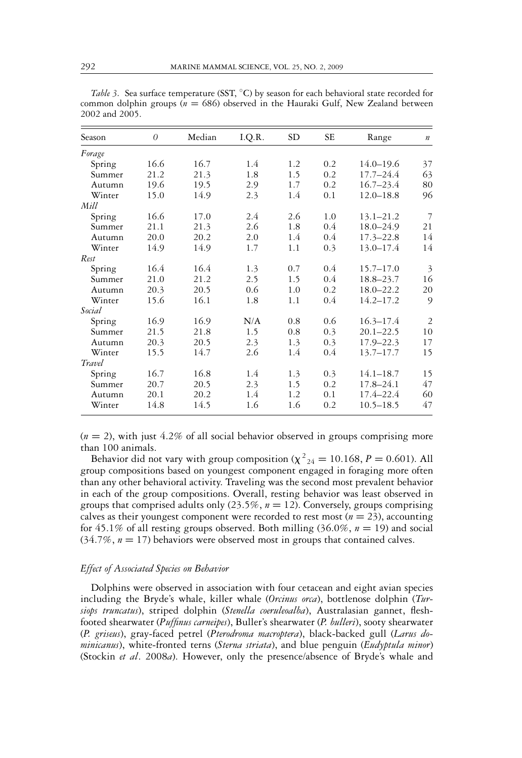| Season | $\theta$ | Median | I.Q.R. | <b>SD</b> | SE  | Range         | $\boldsymbol{n}$        |
|--------|----------|--------|--------|-----------|-----|---------------|-------------------------|
| Forage |          |        |        |           |     |               |                         |
| Spring | 16.6     | 16.7   | 1.4    | 1.2       | 0.2 | $14.0 - 19.6$ | 37                      |
| Summer | 21.2     | 21.3   | 1.8    | 1.5       | 0.2 | $17.7 - 24.4$ | 63                      |
| Autumn | 19.6     | 19.5   | 2.9    | 1.7       | 0.2 | $16.7 - 23.4$ | 80                      |
| Winter | 15.0     | 14.9   | 2.3    | 1.4       | 0.1 | $12.0 - 18.8$ | 96                      |
| Mill   |          |        |        |           |     |               |                         |
| Spring | 16.6     | 17.0   | 2.4    | 2.6       | 1.0 | $13.1 - 21.2$ | 7                       |
| Summer | 21.1     | 21.3   | 2.6    | 1.8       | 0.4 | $18.0 - 24.9$ | 21                      |
| Autumn | 20.0     | 20.2   | 2.0    | 1.4       | 0.4 | $17.3 - 22.8$ | 14                      |
| Winter | 14.9     | 14.9   | 1.7    | 1.1       | 0.3 | $13.0 - 17.4$ | 14                      |
| Rest   |          |        |        |           |     |               |                         |
| Spring | 16.4     | 16.4   | 1.3    | 0.7       | 0.4 | $15.7 - 17.0$ | $\overline{\mathbf{3}}$ |
| Summer | 21.0     | 21.2   | 2.5    | 1.5       | 0.4 | $18.8 - 23.7$ | 16                      |
| Autumn | 20.3     | 20.5   | 0.6    | 1.0       | 0.2 | $18.0 - 22.2$ | 20                      |
| Winter | 15.6     | 16.1   | 1.8    | 1.1       | 0.4 | $14.2 - 17.2$ | 9                       |
| Social |          |        |        |           |     |               |                         |
| Spring | 16.9     | 16.9   | N/A    | 0.8       | 0.6 | $16.3 - 17.4$ | 2                       |
| Summer | 21.5     | 21.8   | 1.5    | 0.8       | 0.3 | $20.1 - 22.5$ | 10                      |
| Autumn | 20.3     | 20.5   | 2.3    | 1.3       | 0.3 | $17.9 - 22.3$ | 17                      |
| Winter | 15.5     | 14.7   | 2.6    | 1.4       | 0.4 | $13.7 - 17.7$ | 15                      |
| Travel |          |        |        |           |     |               |                         |
| Spring | 16.7     | 16.8   | 1.4    | 1.3       | 0.3 | $14.1 - 18.7$ | 15                      |
| Summer | 20.7     | 20.5   | 2.3    | 1.5       | 0.2 | $17.8 - 24.1$ | 47                      |
| Autumn | 20.1     | 20.2   | 1.4    | 1.2       | 0.1 | 17.4-22.4     | 60                      |
| Winter | 14.8     | 14.5   | 1.6    | 1.6       | 0.2 | $10.5 - 18.5$ | 47                      |

*Table 3.* Sea surface temperature (SST, <sup>○</sup>C) by season for each behavioral state recorded for common dolphin groups (*n* = 686) observed in the Hauraki Gulf, New Zealand between 2002 and 2005.

 $(n = 2)$ , with just  $4.2\%$  of all social behavior observed in groups comprising more than 100 animals.

Behavior did not vary with group composition ( $\chi^2_{24} = 10.168$ ,  $P = 0.601$ ). All group compositions based on youngest component engaged in foraging more often than any other behavioral activity. Traveling was the second most prevalent behavior in each of the group compositions. Overall, resting behavior was least observed in groups that comprised adults only (23.5%, *n* = 12). Conversely, groups comprising calves as their youngest component were recorded to rest most  $(n = 23)$ , accounting for 45.1% of all resting groups observed. Both milling  $(36.0\%, n = 19)$  and social  $(34.7\%, n = 17)$  behaviors were observed most in groups that contained calves.

#### *Effect of Associated Species on Behavior*

Dolphins were observed in association with four cetacean and eight avian species including the Bryde's whale, killer whale (*Orcinus orca*), bottlenose dolphin (*Tursiops truncatus*), striped dolphin (*Stenella coeruleoalba*), Australasian gannet, fleshfooted shearwater (*Puffinus carneipes*), Buller's shearwater (*P. bulleri*), sooty shearwater (*P. griseus*), gray-faced petrel (*Pterodroma macroptera*), black-backed gull (*Larus dominicanus*), white-fronted terns (*Sterna striata*), and blue penguin (*Eudyptula minor*) (Stockin *et al*. 2008*a*). However, only the presence/absence of Bryde's whale and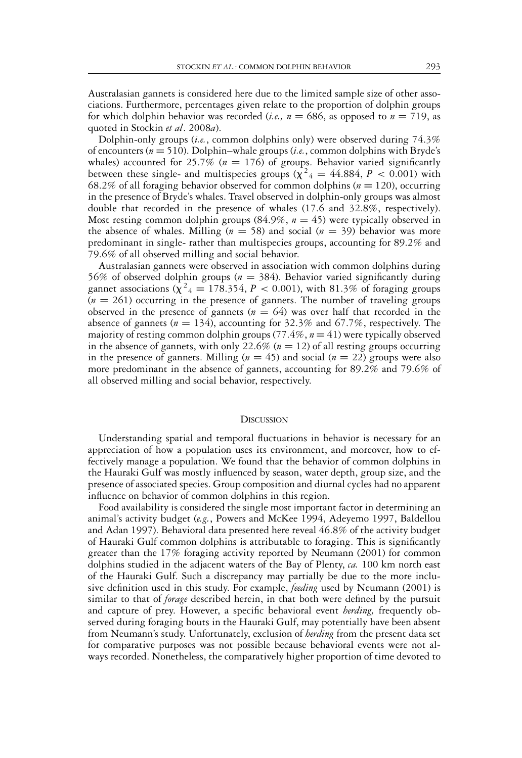Australasian gannets is considered here due to the limited sample size of other associations. Furthermore, percentages given relate to the proportion of dolphin groups for which dolphin behavior was recorded (*i.e.*,  $n = 686$ , as opposed to  $n = 719$ , as quoted in Stockin *et al*. 2008*a*).

Dolphin-only groups (*i.e.*, common dolphins only) were observed during 74.3% of encounters (*n* = 510). Dolphin–whale groups (*i.e.*, common dolphins with Bryde's whales) accounted for  $25.7\%$  ( $n = 176$ ) of groups. Behavior varied significantly between these single- and multispecies groups ( $\chi^2$ <sub>4</sub> = 44.884, *P* < 0.001) with 68.2% of all foraging behavior observed for common dolphins (*n* = 120), occurring in the presence of Bryde's whales. Travel observed in dolphin-only groups was almost double that recorded in the presence of whales (17.6 and 32.8%, respectively). Most resting common dolphin groups  $(84.9\%, n = 45)$  were typically observed in the absence of whales. Milling  $(n = 58)$  and social  $(n = 39)$  behavior was more predominant in single- rather than multispecies groups, accounting for 89.2% and 79.6% of all observed milling and social behavior.

Australasian gannets were observed in association with common dolphins during 56% of observed dolphin groups (*n* = 384). Behavior varied significantly during gannet associations  $(\chi^2_A = 178.354, P < 0.001)$ , with 81.3% of foraging groups (*n* = 261) occurring in the presence of gannets. The number of traveling groups observed in the presence of gannets  $(n = 64)$  was over half that recorded in the absence of gannets ( $n = 134$ ), accounting for  $32.3\%$  and  $67.7\%$ , respectively. The majority of resting common dolphin groups  $(77.4\%, n=41)$  were typically observed in the absence of gannets, with only 22.6% ( $n = 12$ ) of all resting groups occurring in the presence of gannets. Milling  $(n = 45)$  and social  $(n = 22)$  groups were also more predominant in the absence of gannets, accounting for 89.2% and 79.6% of all observed milling and social behavior, respectively.

#### **DISCUSSION**

Understanding spatial and temporal fluctuations in behavior is necessary for an appreciation of how a population uses its environment, and moreover, how to effectively manage a population. We found that the behavior of common dolphins in the Hauraki Gulf was mostly influenced by season, water depth, group size, and the presence of associated species. Group composition and diurnal cycles had no apparent influence on behavior of common dolphins in this region.

Food availability is considered the single most important factor in determining an animal's activity budget (*e.g.*, Powers and McKee 1994, Adeyemo 1997, Baldellou and Adan 1997). Behavioral data presented here reveal 46.8% of the activity budget of Hauraki Gulf common dolphins is attributable to foraging. This is significantly greater than the 17% foraging activity reported by Neumann (2001) for common dolphins studied in the adjacent waters of the Bay of Plenty, *ca.* 100 km north east of the Hauraki Gulf. Such a discrepancy may partially be due to the more inclusive definition used in this study. For example, *feeding* used by Neumann (2001) is similar to that of *forage* described herein, in that both were defined by the pursuit and capture of prey. However, a specific behavioral event *herding,* frequently observed during foraging bouts in the Hauraki Gulf, may potentially have been absent from Neumann's study. Unfortunately, exclusion of *herding* from the present data set for comparative purposes was not possible because behavioral events were not always recorded. Nonetheless, the comparatively higher proportion of time devoted to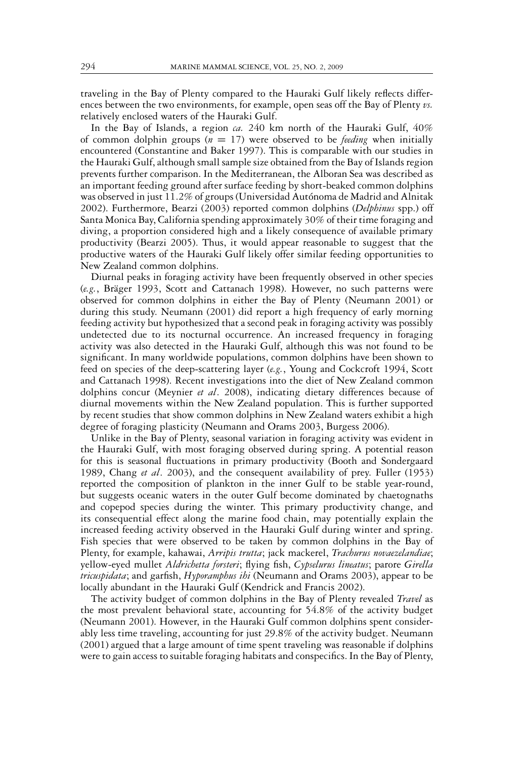traveling in the Bay of Plenty compared to the Hauraki Gulf likely reflects differences between the two environments, for example, open seas off the Bay of Plenty *vs.* relatively enclosed waters of the Hauraki Gulf.

In the Bay of Islands, a region *ca.* 240 km north of the Hauraki Gulf, 40% of common dolphin groups  $(n = 17)$  were observed to be *feeding* when initially encountered (Constantine and Baker 1997). This is comparable with our studies in the Hauraki Gulf, although small sample size obtained from the Bay of Islands region prevents further comparison. In the Mediterranean, the Alboran Sea was described as an important feeding ground after surface feeding by short-beaked common dolphins was observed in just 11.2% of groups (Universidad Autónoma de Madrid and Alnitak 2002). Furthermore, Bearzi (2003) reported common dolphins (*Delphinus* spp.) off Santa Monica Bay, California spending approximately 30% of their time foraging and diving, a proportion considered high and a likely consequence of available primary productivity (Bearzi 2005). Thus, it would appear reasonable to suggest that the productive waters of the Hauraki Gulf likely offer similar feeding opportunities to New Zealand common dolphins.

Diurnal peaks in foraging activity have been frequently observed in other species (e.g., Bräger 1993, Scott and Cattanach 1998). However, no such patterns were observed for common dolphins in either the Bay of Plenty (Neumann 2001) or during this study. Neumann (2001) did report a high frequency of early morning feeding activity but hypothesized that a second peak in foraging activity was possibly undetected due to its nocturnal occurrence. An increased frequency in foraging activity was also detected in the Hauraki Gulf, although this was not found to be significant. In many worldwide populations, common dolphins have been shown to feed on species of the deep-scattering layer (*e.g.*, Young and Cockcroft 1994, Scott and Cattanach 1998). Recent investigations into the diet of New Zealand common dolphins concur (Meynier *et al*. 2008), indicating dietary differences because of diurnal movements within the New Zealand population. This is further supported by recent studies that show common dolphins in New Zealand waters exhibit a high degree of foraging plasticity (Neumann and Orams 2003, Burgess 2006).

Unlike in the Bay of Plenty, seasonal variation in foraging activity was evident in the Hauraki Gulf, with most foraging observed during spring. A potential reason for this is seasonal fluctuations in primary productivity (Booth and Sondergaard 1989, Chang *et al*. 2003), and the consequent availability of prey. Fuller (1953) reported the composition of plankton in the inner Gulf to be stable year-round, but suggests oceanic waters in the outer Gulf become dominated by chaetognaths and copepod species during the winter. This primary productivity change, and its consequential effect along the marine food chain, may potentially explain the increased feeding activity observed in the Hauraki Gulf during winter and spring. Fish species that were observed to be taken by common dolphins in the Bay of Plenty, for example, kahawai, *Arripis trutta*; jack mackerel, *Trachurus novaezelandiae*; yellow-eyed mullet *Aldrichetta forsteri*; flying fish, *Cypselurus lineatus*; parore *Girella tricuspidata*; and garfish, *Hyporamphus ihi* (Neumann and Orams 2003), appear to be locally abundant in the Hauraki Gulf (Kendrick and Francis 2002).

The activity budget of common dolphins in the Bay of Plenty revealed *Travel* as the most prevalent behavioral state, accounting for 54.8% of the activity budget (Neumann 2001). However, in the Hauraki Gulf common dolphins spent considerably less time traveling, accounting for just 29.8% of the activity budget. Neumann (2001) argued that a large amount of time spent traveling was reasonable if dolphins were to gain access to suitable foraging habitats and conspecifics. In the Bay of Plenty,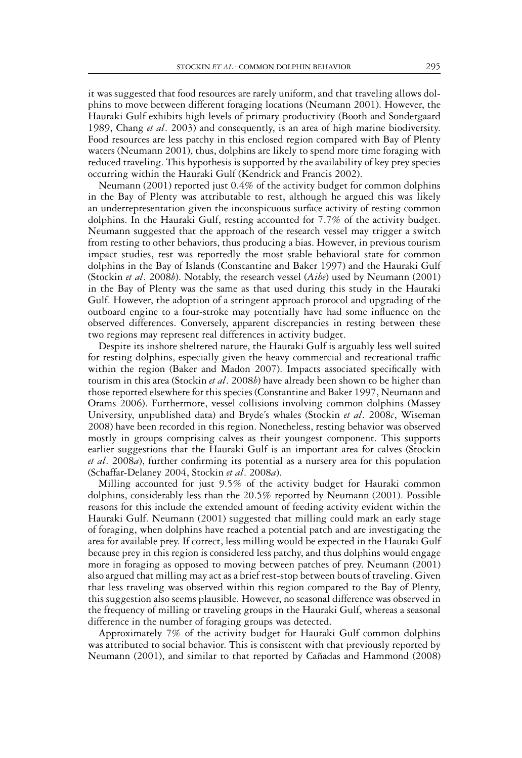it was suggested that food resources are rarely uniform, and that traveling allows dolphins to move between different foraging locations (Neumann 2001). However, the Hauraki Gulf exhibits high levels of primary productivity (Booth and Sondergaard 1989, Chang *et al*. 2003) and consequently, is an area of high marine biodiversity. Food resources are less patchy in this enclosed region compared with Bay of Plenty waters (Neumann 2001), thus, dolphins are likely to spend more time foraging with reduced traveling. This hypothesis is supported by the availability of key prey species occurring within the Hauraki Gulf (Kendrick and Francis 2002).

Neumann (2001) reported just 0.4% of the activity budget for common dolphins in the Bay of Plenty was attributable to rest, although he argued this was likely an underrepresentation given the inconspicuous surface activity of resting common dolphins. In the Hauraki Gulf, resting accounted for 7.7% of the activity budget. Neumann suggested that the approach of the research vessel may trigger a switch from resting to other behaviors, thus producing a bias. However, in previous tourism impact studies, rest was reportedly the most stable behavioral state for common dolphins in the Bay of Islands (Constantine and Baker 1997) and the Hauraki Gulf (Stockin *et al*. 2008*b*). Notably, the research vessel (*Aihe*) used by Neumann (2001) in the Bay of Plenty was the same as that used during this study in the Hauraki Gulf. However, the adoption of a stringent approach protocol and upgrading of the outboard engine to a four-stroke may potentially have had some influence on the observed differences. Conversely, apparent discrepancies in resting between these two regions may represent real differences in activity budget.

Despite its inshore sheltered nature, the Hauraki Gulf is arguably less well suited for resting dolphins, especially given the heavy commercial and recreational traffic within the region (Baker and Madon 2007). Impacts associated specifically with tourism in this area (Stockin *et al*. 2008*b*) have already been shown to be higher than those reported elsewhere for this species (Constantine and Baker 1997, Neumann and Orams 2006). Furthermore, vessel collisions involving common dolphins (Massey University, unpublished data) and Bryde's whales (Stockin *et al*. 2008*c*, Wiseman 2008) have been recorded in this region. Nonetheless, resting behavior was observed mostly in groups comprising calves as their youngest component. This supports earlier suggestions that the Hauraki Gulf is an important area for calves (Stockin *et al*. 2008*a*), further confirming its potential as a nursery area for this population (Schaffar-Delaney 2004, Stockin *et al*. 2008*a*).

Milling accounted for just 9.5% of the activity budget for Hauraki common dolphins, considerably less than the 20.5% reported by Neumann (2001). Possible reasons for this include the extended amount of feeding activity evident within the Hauraki Gulf. Neumann (2001) suggested that milling could mark an early stage of foraging, when dolphins have reached a potential patch and are investigating the area for available prey. If correct, less milling would be expected in the Hauraki Gulf because prey in this region is considered less patchy, and thus dolphins would engage more in foraging as opposed to moving between patches of prey. Neumann (2001) also argued that milling may act as a brief rest-stop between bouts of traveling. Given that less traveling was observed within this region compared to the Bay of Plenty, this suggestion also seems plausible. However, no seasonal difference was observed in the frequency of milling or traveling groups in the Hauraki Gulf, whereas a seasonal difference in the number of foraging groups was detected.

Approximately 7% of the activity budget for Hauraki Gulf common dolphins was attributed to social behavior. This is consistent with that previously reported by Neumann (2001), and similar to that reported by Cañadas and Hammond (2008)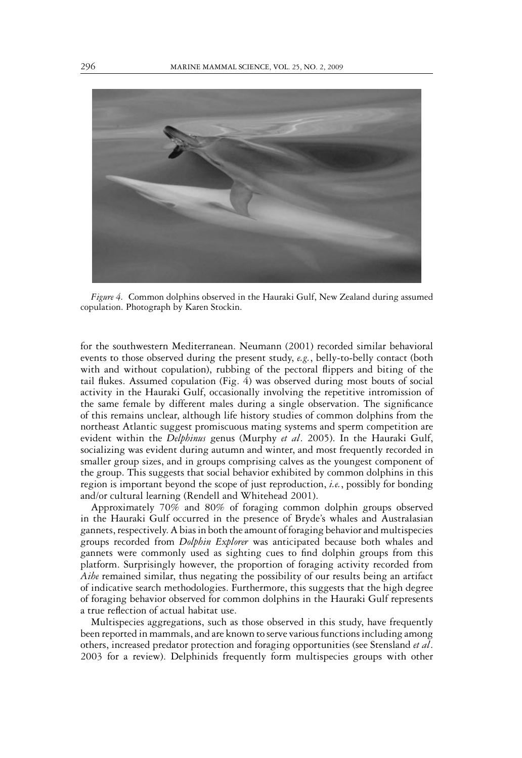

*Figure 4.* Common dolphins observed in the Hauraki Gulf, New Zealand during assumed copulation. Photograph by Karen Stockin.

for the southwestern Mediterranean. Neumann (2001) recorded similar behavioral events to those observed during the present study, *e.g.*, belly-to-belly contact (both with and without copulation), rubbing of the pectoral flippers and biting of the tail flukes. Assumed copulation (Fig. 4) was observed during most bouts of social activity in the Hauraki Gulf, occasionally involving the repetitive intromission of the same female by different males during a single observation. The significance of this remains unclear, although life history studies of common dolphins from the northeast Atlantic suggest promiscuous mating systems and sperm competition are evident within the *Delphinus* genus (Murphy *et al*. 2005). In the Hauraki Gulf, socializing was evident during autumn and winter, and most frequently recorded in smaller group sizes, and in groups comprising calves as the youngest component of the group. This suggests that social behavior exhibited by common dolphins in this region is important beyond the scope of just reproduction, *i.e.*, possibly for bonding and/or cultural learning (Rendell and Whitehead 2001).

Approximately 70% and 80% of foraging common dolphin groups observed in the Hauraki Gulf occurred in the presence of Bryde's whales and Australasian gannets, respectively. A bias in both the amount of foraging behavior and multispecies groups recorded from *Dolphin Explorer* was anticipated because both whales and gannets were commonly used as sighting cues to find dolphin groups from this platform. Surprisingly however, the proportion of foraging activity recorded from *Aihe* remained similar, thus negating the possibility of our results being an artifact of indicative search methodologies. Furthermore, this suggests that the high degree of foraging behavior observed for common dolphins in the Hauraki Gulf represents a true reflection of actual habitat use.

Multispecies aggregations, such as those observed in this study, have frequently been reported in mammals, and are known to serve various functions including among others, increased predator protection and foraging opportunities (see Stensland *et al*. 2003 for a review). Delphinids frequently form multispecies groups with other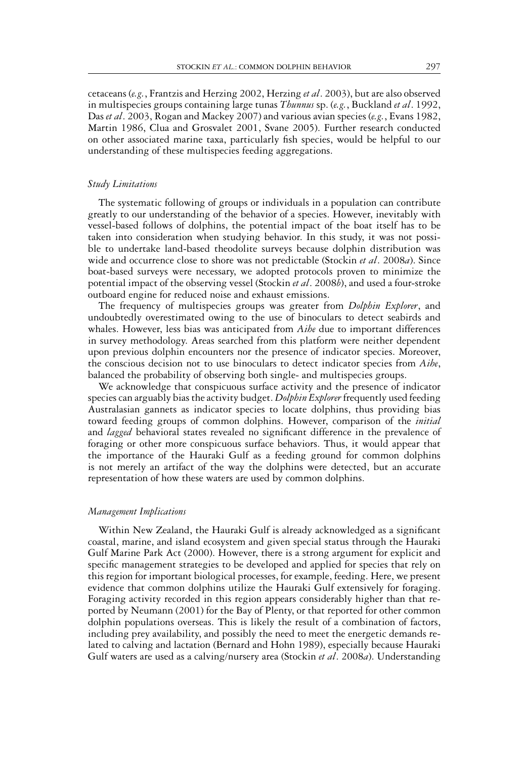cetaceans (*e.g.*, Frantzis and Herzing 2002, Herzing *et al*. 2003), but are also observed in multispecies groups containing large tunas *Thunnus* sp. (*e.g.*, Buckland *et al*. 1992, Das *et al*. 2003, Rogan and Mackey 2007) and various avian species (*e.g.*, Evans 1982, Martin 1986, Clua and Grosvalet 2001, Svane 2005). Further research conducted on other associated marine taxa, particularly fish species, would be helpful to our understanding of these multispecies feeding aggregations.

### *Study Limitations*

The systematic following of groups or individuals in a population can contribute greatly to our understanding of the behavior of a species. However, inevitably with vessel-based follows of dolphins, the potential impact of the boat itself has to be taken into consideration when studying behavior. In this study, it was not possible to undertake land-based theodolite surveys because dolphin distribution was wide and occurrence close to shore was not predictable (Stockin *et al*. 2008*a*). Since boat-based surveys were necessary, we adopted protocols proven to minimize the potential impact of the observing vessel (Stockin *et al*. 2008*b*), and used a four-stroke outboard engine for reduced noise and exhaust emissions.

The frequency of multispecies groups was greater from *Dolphin Explorer*, and undoubtedly overestimated owing to the use of binoculars to detect seabirds and whales. However, less bias was anticipated from *Aihe* due to important differences in survey methodology. Areas searched from this platform were neither dependent upon previous dolphin encounters nor the presence of indicator species. Moreover, the conscious decision not to use binoculars to detect indicator species from *Aihe*, balanced the probability of observing both single- and multispecies groups.

We acknowledge that conspicuous surface activity and the presence of indicator species can arguably bias the activity budget. *Dolphin Explorer* frequently used feeding Australasian gannets as indicator species to locate dolphins, thus providing bias toward feeding groups of common dolphins. However, comparison of the *initial* and *lagged* behavioral states revealed no significant difference in the prevalence of foraging or other more conspicuous surface behaviors. Thus, it would appear that the importance of the Hauraki Gulf as a feeding ground for common dolphins is not merely an artifact of the way the dolphins were detected, but an accurate representation of how these waters are used by common dolphins.

#### *Management Implications*

Within New Zealand, the Hauraki Gulf is already acknowledged as a significant coastal, marine, and island ecosystem and given special status through the Hauraki Gulf Marine Park Act (2000). However, there is a strong argument for explicit and specific management strategies to be developed and applied for species that rely on this region for important biological processes, for example, feeding. Here, we present evidence that common dolphins utilize the Hauraki Gulf extensively for foraging. Foraging activity recorded in this region appears considerably higher than that reported by Neumann (2001) for the Bay of Plenty, or that reported for other common dolphin populations overseas. This is likely the result of a combination of factors, including prey availability, and possibly the need to meet the energetic demands related to calving and lactation (Bernard and Hohn 1989), especially because Hauraki Gulf waters are used as a calving/nursery area (Stockin *et al*. 2008*a*). Understanding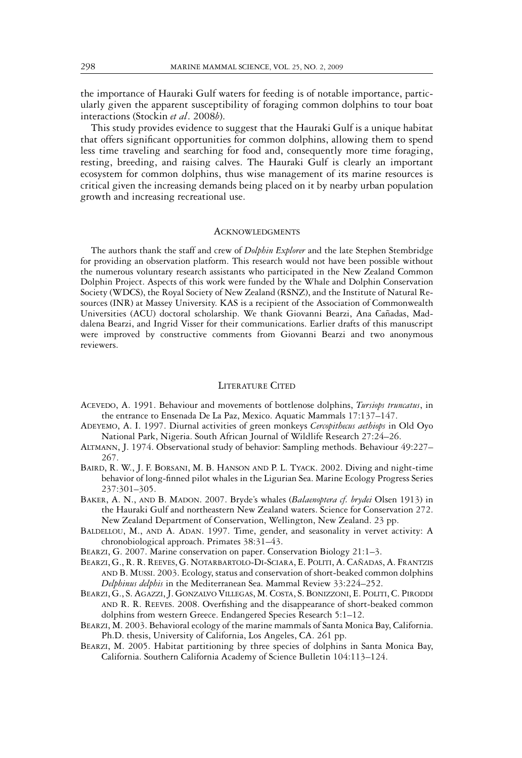the importance of Hauraki Gulf waters for feeding is of notable importance, particularly given the apparent susceptibility of foraging common dolphins to tour boat interactions (Stockin *et al*. 2008*b*).

This study provides evidence to suggest that the Hauraki Gulf is a unique habitat that offers significant opportunities for common dolphins, allowing them to spend less time traveling and searching for food and, consequently more time foraging, resting, breeding, and raising calves. The Hauraki Gulf is clearly an important ecosystem for common dolphins, thus wise management of its marine resources is critical given the increasing demands being placed on it by nearby urban population growth and increasing recreational use.

# **ACKNOWLEDGMENTS**

The authors thank the staff and crew of *Dolphin Explorer* and the late Stephen Stembridge for providing an observation platform. This research would not have been possible without the numerous voluntary research assistants who participated in the New Zealand Common Dolphin Project. Aspects of this work were funded by the Whale and Dolphin Conservation Society (WDCS), the Royal Society of New Zealand (RSNZ), and the Institute of Natural Resources (INR) at Massey University. KAS is a recipient of the Association of Commonwealth Universities (ACU) doctoral scholarship. We thank Giovanni Bearzi, Ana Cañadas, Maddalena Bearzi, and Ingrid Visser for their communications. Earlier drafts of this manuscript were improved by constructive comments from Giovanni Bearzi and two anonymous reviewers.

#### LITERATURE CITED

- ACEVEDO, A. 1991. Behaviour and movements of bottlenose dolphins, *Tursiops truncatus*, in the entrance to Ensenada De La Paz, Mexico. Aquatic Mammals 17:137–147.
- ADEYEMO, A. I. 1997. Diurnal activities of green monkeys *Cercopithecus aethiops* in Old Oyo National Park, Nigeria. South African Journal of Wildlife Research 27:24–26.
- ALTMANN, J. 1974. Observational study of behavior: Sampling methods. Behaviour 49:227– 267.
- BAIRD, R. W., J. F. BORSANI, M. B. HANSON AND P. L. TYACK. 2002. Diving and night-time behavior of long-finned pilot whales in the Ligurian Sea. Marine Ecology Progress Series 237:301–305.
- BAKER, A. N., AND B. MADON. 2007. Bryde's whales (*Balaenoptera cf. brydei* Olsen 1913) in the Hauraki Gulf and northeastern New Zealand waters. Science for Conservation 272. New Zealand Department of Conservation, Wellington, New Zealand. 23 pp.
- BALDELLOU, M., AND A. ADAN. 1997. Time, gender, and seasonality in vervet activity: A chronobiological approach. Primates 38:31–43.
- BEARZI, G. 2007. Marine conservation on paper. Conservation Biology 21:1–3.
- BEARZI, G., R. R. REEVES, G. NOTARBARTOLO-DI-SCIARA, E. POLITI, A. CAÑADAS, A. FRANTZIS AND B. MUSSI. 2003. Ecology, status and conservation of short-beaked common dolphins *Delphinus delphis* in the Mediterranean Sea. Mammal Review 33:224–252.
- BEARZI, G., S. AGAZZI, J. GONZALVO VILLEGAS, M. COSTA, S. BONIZZONI, E. POLITI, C. PIRODDI AND R. R. REEVES. 2008. Overfishing and the disappearance of short-beaked common dolphins from western Greece. Endangered Species Research 5:1–12.
- BEARZI, M. 2003. Behavioral ecology of the marine mammals of Santa Monica Bay, California. Ph.D. thesis, University of California, Los Angeles, CA. 261 pp.
- BEARZI, M. 2005. Habitat partitioning by three species of dolphins in Santa Monica Bay, California. Southern California Academy of Science Bulletin 104:113–124.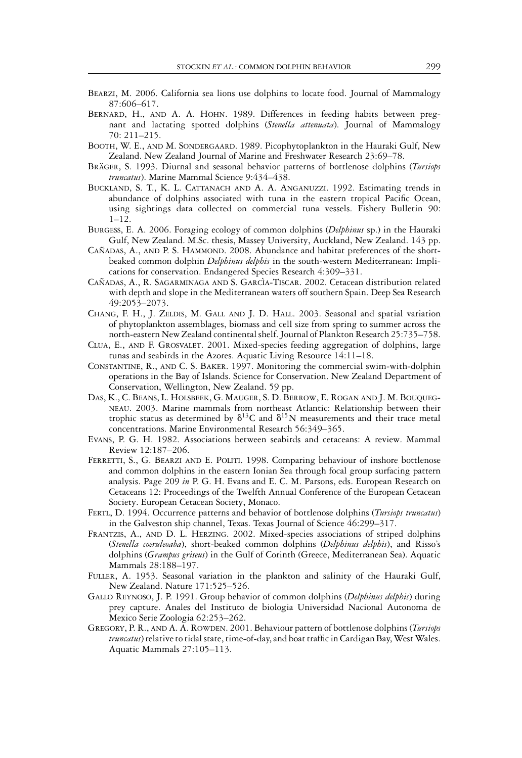- BEARZI, M. 2006. California sea lions use dolphins to locate food. Journal of Mammalogy 87:606–617.
- BERNARD, H., AND A. A. HOHN. 1989. Differences in feeding habits between pregnant and lactating spotted dolphins (*Stenella attenuata*). Journal of Mammalogy 70: 211–215.
- BOOTH, W. E., AND M. SONDERGAARD. 1989. Picophytoplankton in the Hauraki Gulf, New Zealand. New Zealand Journal of Marine and Freshwater Research 23:69–78.
- BRÄGER, S. 1993. Diurnal and seasonal behavior patterns of bottlenose dolphins (*Tursiops truncatus*). Marine Mammal Science 9:434–438.
- BUCKLAND, S. T., K. L. CATTANACH AND A. A. ANGANUZZI. 1992. Estimating trends in abundance of dolphins associated with tuna in the eastern tropical Pacific Ocean, using sightings data collected on commercial tuna vessels. Fishery Bulletin 90: 1–12.
- BURGESS, E. A. 2006. Foraging ecology of common dolphins (*Delphinus* sp.) in the Hauraki Gulf, New Zealand. M.Sc. thesis, Massey University, Auckland, New Zealand. 143 pp.
- CAÑADAS, A., AND P. S. HAMMOND. 2008. Abundance and habitat preferences of the shortbeaked common dolphin *Delphinus delphis* in the south-western Mediterranean: Implications for conservation. Endangered Species Research 4:309–331.
- CAÑADAS, A., R. SAGARMINAGA AND S. GARCÌA-TISCAR. 2002. Cetacean distribution related with depth and slope in the Mediterranean waters off southern Spain. Deep Sea Research 49:2053–2073.
- CHANG, F. H., J. ZELDIS, M. GALL AND J. D. HALL. 2003. Seasonal and spatial variation of phytoplankton assemblages, biomass and cell size from spring to summer across the north-eastern New Zealand continental shelf. Journal of Plankton Research 25:735–758.
- CLUA, E., AND F. GROSVALET. 2001. Mixed-species feeding aggregation of dolphins, large tunas and seabirds in the Azores. Aquatic Living Resource 14:11–18.
- CONSTANTINE, R., AND C. S. BAKER. 1997. Monitoring the commercial swim-with-dolphin operations in the Bay of Islands. Science for Conservation. New Zealand Department of Conservation, Wellington, New Zealand. 59 pp.
- DAS, K., C. BEANS, L. HOLSBEEK, G. MAUGER, S. D. BERROW, E. ROGAN AND J. M. BOUQUEG-NEAU. 2003. Marine mammals from northeast Atlantic: Relationship between their trophic status as determined by  $\delta^{13}C$  and  $\delta^{15}N$  measurements and their trace metal concentrations. Marine Environmental Research 56:349–365.
- EVANS, P. G. H. 1982. Associations between seabirds and cetaceans: A review. Mammal Review 12:187–206.
- FERRETTI, S., G. BEARZI AND E. POLITI. 1998. Comparing behaviour of inshore bottlenose and common dolphins in the eastern Ionian Sea through focal group surfacing pattern analysis. Page 209 *in* P. G. H. Evans and E. C. M. Parsons, eds. European Research on Cetaceans 12: Proceedings of the Twelfth Annual Conference of the European Cetacean Society. European Cetacean Society, Monaco.
- FERTL, D. 1994. Occurrence patterns and behavior of bottlenose dolphins (*Tursiops truncatus*) in the Galveston ship channel, Texas. Texas Journal of Science 46:299–317.
- FRANTZIS, A., AND D. L. HERZING. 2002. Mixed-species associations of striped dolphins (*Stenella coeruleoaba*), short-beaked common dolphins (*Delphinus delphis*), and Risso's dolphins (*Grampus griseus*) in the Gulf of Corinth (Greece, Mediterranean Sea). Aquatic Mammals 28:188–197.
- FULLER, A. 1953. Seasonal variation in the plankton and salinity of the Hauraki Gulf, New Zealand. Nature 171:525–526.
- GALLO REYNOSO, J. P. 1991. Group behavior of common dolphins (*Delphinus delphis*) during prey capture. Anales del Instituto de biologia Universidad Nacional Autonoma de Mexico Serie Zoologia 62:253–262.
- GREGORY, P. R., AND A. A. ROWDEN. 2001. Behaviour pattern of bottlenose dolphins (*Tursiops truncatus*) relative to tidal state, time-of-day, and boat traffic in Cardigan Bay, West Wales. Aquatic Mammals 27:105–113.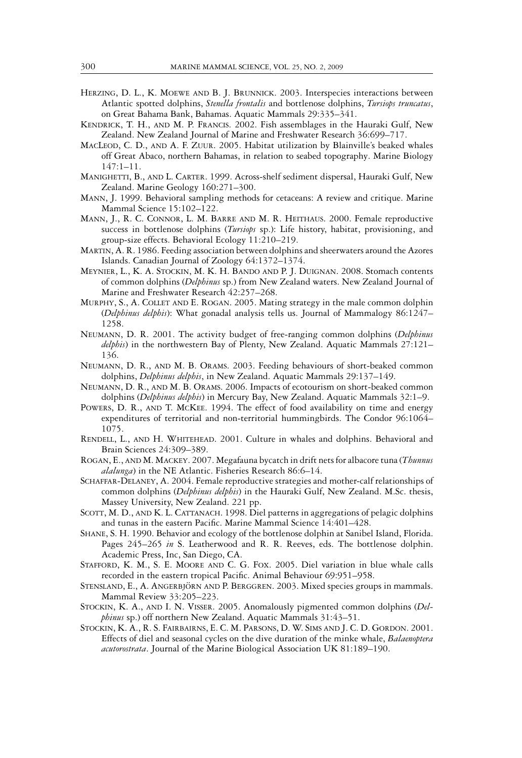- HERZING, D. L., K. MOEWE AND B. J. BRUNNICK. 2003. Interspecies interactions between Atlantic spotted dolphins, *Stenella frontalis* and bottlenose dolphins, *Tursiops truncatus*, on Great Bahama Bank, Bahamas. Aquatic Mammals 29:335–341.
- KENDRICK, T. H., AND M. P. FRANCIS. 2002. Fish assemblages in the Hauraki Gulf, New Zealand. New Zealand Journal of Marine and Freshwater Research 36:699–717.
- MACLEOD, C. D., AND A. F. ZUUR. 2005. Habitat utilization by Blainville's beaked whales off Great Abaco, northern Bahamas, in relation to seabed topography. Marine Biology 147:1–11.
- MANIGHETTI, B., AND L. CARTER. 1999. Across-shelf sediment dispersal, Hauraki Gulf, New Zealand. Marine Geology 160:271–300.
- MANN, J. 1999. Behavioral sampling methods for cetaceans: A review and critique. Marine Mammal Science 15:102–122.
- MANN, J., R. C. CONNOR, L. M. BARRE AND M. R. HEITHAUS. 2000. Female reproductive success in bottlenose dolphins (*Tursiops* sp.): Life history, habitat, provisioning, and group-size effects. Behavioral Ecology 11:210–219.
- MARTIN, A. R. 1986. Feeding association between dolphins and sheerwaters around the Azores Islands. Canadian Journal of Zoology 64:1372–1374.
- MEYNIER, L., K. A. STOCKIN, M. K. H. BANDO AND P. J. DUIGNAN. 2008. Stomach contents of common dolphins (*Delphinus* sp.) from New Zealand waters. New Zealand Journal of Marine and Freshwater Research 42:257–268.
- MURPHY, S., A. COLLET AND E. ROGAN. 2005. Mating strategy in the male common dolphin (*Delphinus delphis*): What gonadal analysis tells us. Journal of Mammalogy 86:1247– 1258.
- NEUMANN, D. R. 2001. The activity budget of free-ranging common dolphins (*Delphinus delphis*) in the northwestern Bay of Plenty, New Zealand. Aquatic Mammals 27:121– 136.
- NEUMANN, D. R., AND M. B. ORAMS. 2003. Feeding behaviours of short-beaked common dolphins, *Delphinus delphis*, in New Zealand. Aquatic Mammals 29:137–149.
- NEUMANN, D. R., AND M. B. ORAMS. 2006. Impacts of ecotourism on short-beaked common dolphins (*Delphinus delphis*) in Mercury Bay, New Zealand. Aquatic Mammals 32:1–9.
- POWERS, D. R., AND T. MCKEE. 1994. The effect of food availability on time and energy expenditures of territorial and non-territorial hummingbirds. The Condor 96:1064– 1075.
- RENDELL, L., AND H. WHITEHEAD. 2001. Culture in whales and dolphins. Behavioral and Brain Sciences 24:309–389.
- ROGAN, E., AND M. MACKEY. 2007. Megafauna bycatch in drift nets for albacore tuna (*Thunnus alalunga*) in the NE Atlantic. Fisheries Research 86:6–14.
- SCHAFFAR-DELANEY, A. 2004. Female reproductive strategies and mother-calf relationships of common dolphins (*Delphinus delphis*) in the Hauraki Gulf, New Zealand. M.Sc. thesis, Massey University, New Zealand. 221 pp.
- SCOTT, M. D., AND K. L. CATTANACH. 1998. Diel patterns in aggregations of pelagic dolphins and tunas in the eastern Pacific. Marine Mammal Science 14:401–428.
- SHANE, S. H. 1990. Behavior and ecology of the bottlenose dolphin at Sanibel Island, Florida. Pages 245–265 *in* S. Leatherwood and R. R. Reeves, eds. The bottlenose dolphin. Academic Press, Inc, San Diego, CA.
- STAFFORD, K. M., S. E. MOORE AND C. G. FOX. 2005. Diel variation in blue whale calls recorded in the eastern tropical Pacific. Animal Behaviour 69:951–958.
- STENSLAND, E., A. ANGERBJÖRN AND P. BERGGREN. 2003. Mixed species groups in mammals. Mammal Review 33:205–223.
- STOCKIN, K. A., AND I. N. VISSER. 2005. Anomalously pigmented common dolphins (*Delphinus* sp.) off northern New Zealand. Aquatic Mammals 31:43–51.
- STOCKIN, K. A., R. S. FAIRBAIRNS, E. C. M. PARSONS, D. W. SIMS AND J. C. D. GORDON. 2001. Effects of diel and seasonal cycles on the dive duration of the minke whale, *Balaenoptera acutorostrata*. Journal of the Marine Biological Association UK 81:189–190.